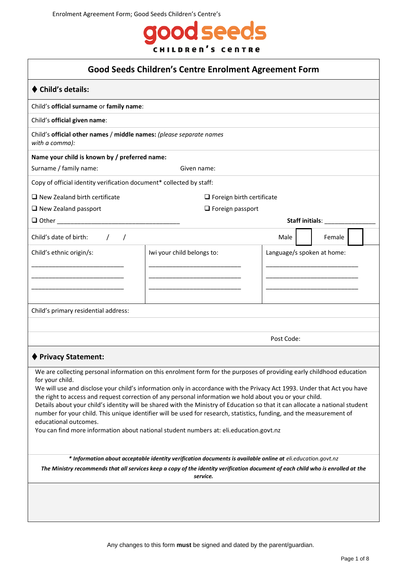

| <b>Good Seeds Children's Centre Enrolment Agreement Form</b>                                                                                 |                                                                                                                                                                                                                                                      |                            |                        |  |  |  |
|----------------------------------------------------------------------------------------------------------------------------------------------|------------------------------------------------------------------------------------------------------------------------------------------------------------------------------------------------------------------------------------------------------|----------------------------|------------------------|--|--|--|
| <b>Child's details:</b>                                                                                                                      |                                                                                                                                                                                                                                                      |                            |                        |  |  |  |
| Child's official surname or family name:                                                                                                     |                                                                                                                                                                                                                                                      |                            |                        |  |  |  |
| Child's official given name:                                                                                                                 |                                                                                                                                                                                                                                                      |                            |                        |  |  |  |
| Child's official other names / middle names: (please separate names<br>with a comma):                                                        |                                                                                                                                                                                                                                                      |                            |                        |  |  |  |
| Name your child is known by / preferred name:                                                                                                |                                                                                                                                                                                                                                                      |                            |                        |  |  |  |
| Surname / family name:<br>Given name:                                                                                                        |                                                                                                                                                                                                                                                      |                            |                        |  |  |  |
| Copy of official identity verification document* collected by staff:                                                                         |                                                                                                                                                                                                                                                      |                            |                        |  |  |  |
| $\Box$ New Zealand birth certificate                                                                                                         | $\Box$ Foreign birth certificate                                                                                                                                                                                                                     |                            |                        |  |  |  |
| $\Box$ New Zealand passport                                                                                                                  | $\Box$ Foreign passport                                                                                                                                                                                                                              |                            |                        |  |  |  |
| $\Box$ Other                                                                                                                                 |                                                                                                                                                                                                                                                      |                            | <b>Staff initials:</b> |  |  |  |
| Child's date of birth:<br>$\prime$                                                                                                           |                                                                                                                                                                                                                                                      | Male                       | Female                 |  |  |  |
| Child's ethnic origin/s:                                                                                                                     | Iwi your child belongs to:                                                                                                                                                                                                                           | Language/s spoken at home: |                        |  |  |  |
|                                                                                                                                              |                                                                                                                                                                                                                                                      |                            |                        |  |  |  |
|                                                                                                                                              |                                                                                                                                                                                                                                                      |                            |                        |  |  |  |
|                                                                                                                                              |                                                                                                                                                                                                                                                      |                            |                        |  |  |  |
| Child's primary residential address:                                                                                                         |                                                                                                                                                                                                                                                      |                            |                        |  |  |  |
|                                                                                                                                              |                                                                                                                                                                                                                                                      |                            |                        |  |  |  |
|                                                                                                                                              |                                                                                                                                                                                                                                                      | Post Code:                 |                        |  |  |  |
| <b>Privacy Statement:</b>                                                                                                                    |                                                                                                                                                                                                                                                      |                            |                        |  |  |  |
|                                                                                                                                              | We are collecting personal information on this enrolment form for the purposes of providing early childhood education                                                                                                                                |                            |                        |  |  |  |
| for your child.                                                                                                                              | We will use and disclose your child's information only in accordance with the Privacy Act 1993. Under that Act you have                                                                                                                              |                            |                        |  |  |  |
|                                                                                                                                              | the right to access and request correction of any personal information we hold about you or your child.                                                                                                                                              |                            |                        |  |  |  |
|                                                                                                                                              | Details about your child's identity will be shared with the Ministry of Education so that it can allocate a national student<br>number for your child. This unique identifier will be used for research, statistics, funding, and the measurement of |                            |                        |  |  |  |
| educational outcomes.                                                                                                                        |                                                                                                                                                                                                                                                      |                            |                        |  |  |  |
| You can find more information about national student numbers at: eli.education.govt.nz                                                       |                                                                                                                                                                                                                                                      |                            |                        |  |  |  |
| * Information about acceptable identity verification documents is available online at eli.education.govt.nz                                  |                                                                                                                                                                                                                                                      |                            |                        |  |  |  |
| The Ministry recommends that all services keep a copy of the identity verification document of each child who is enrolled at the<br>service. |                                                                                                                                                                                                                                                      |                            |                        |  |  |  |
|                                                                                                                                              |                                                                                                                                                                                                                                                      |                            |                        |  |  |  |
|                                                                                                                                              |                                                                                                                                                                                                                                                      |                            |                        |  |  |  |
|                                                                                                                                              |                                                                                                                                                                                                                                                      |                            |                        |  |  |  |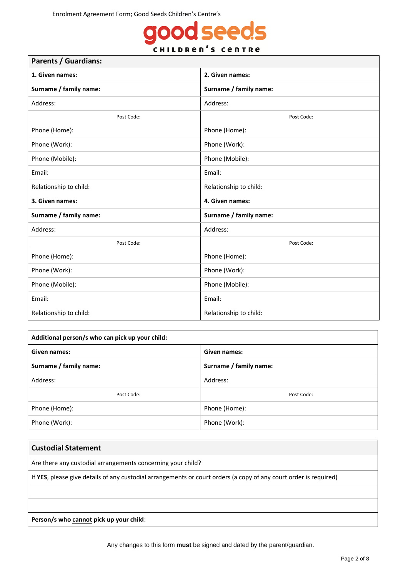## good seeds **CHILDREN'S CENTRE**

| <b>Parents / Guardians:</b> |                        |  |  |  |
|-----------------------------|------------------------|--|--|--|
| 1. Given names:             | 2. Given names:        |  |  |  |
| Surname / family name:      | Surname / family name: |  |  |  |
| Address:                    | Address:               |  |  |  |
| Post Code:                  | Post Code:             |  |  |  |
| Phone (Home):               | Phone (Home):          |  |  |  |
| Phone (Work):               | Phone (Work):          |  |  |  |
| Phone (Mobile):             | Phone (Mobile):        |  |  |  |
| Email:                      | Email:                 |  |  |  |
| Relationship to child:      | Relationship to child: |  |  |  |
| 3. Given names:             | 4. Given names:        |  |  |  |
| Surname / family name:      | Surname / family name: |  |  |  |
| Address:                    | Address:               |  |  |  |
| Post Code:                  | Post Code:             |  |  |  |
| Phone (Home):               | Phone (Home):          |  |  |  |
| Phone (Work):               | Phone (Work):          |  |  |  |
| Phone (Mobile):             | Phone (Mobile):        |  |  |  |
| Email:                      | Email:                 |  |  |  |
| Relationship to child:      | Relationship to child: |  |  |  |

| Additional person/s who can pick up your child: |                        |  |  |  |  |
|-------------------------------------------------|------------------------|--|--|--|--|
| Given names:                                    | <b>Given names:</b>    |  |  |  |  |
| Surname / family name:                          | Surname / family name: |  |  |  |  |
| Address:                                        | Address:               |  |  |  |  |
| Post Code:                                      | Post Code:             |  |  |  |  |
| Phone (Home):                                   | Phone (Home):          |  |  |  |  |
| Phone (Work):                                   | Phone (Work):          |  |  |  |  |

# **Custodial Statement**  Are there any custodial arrangements concerning your child? If **YES**, please give details of any custodial arrangements or court orders (a copy of any court order is required)

**Person/s who cannot pick up your child**: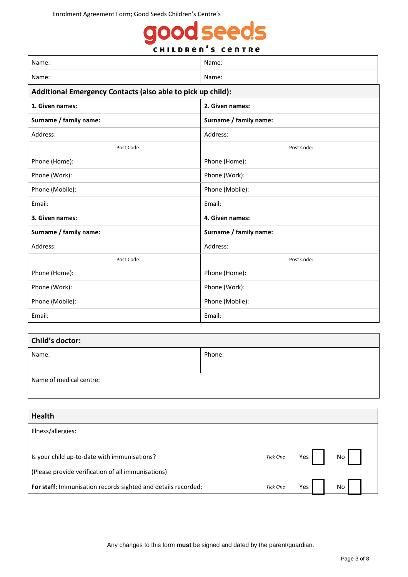# good seeds **CHILDREN'S CENTRE**

| Name:                                                       | Name:                  |  |  |
|-------------------------------------------------------------|------------------------|--|--|
| Name:                                                       | Name:                  |  |  |
| Additional Emergency Contacts (also able to pick up child): |                        |  |  |
| 1. Given names:                                             | 2. Given names:        |  |  |
| Surname / family name:                                      | Surname / family name: |  |  |
| Address:                                                    | Address:               |  |  |
| Post Code:                                                  | Post Code:             |  |  |
| Phone (Home):                                               | Phone (Home):          |  |  |
| Phone (Work):                                               | Phone (Work):          |  |  |
| Phone (Mobile):                                             | Phone (Mobile):        |  |  |
| Email:                                                      | Email:                 |  |  |
| 3. Given names:                                             | 4. Given names:        |  |  |
| Surname / family name:                                      | Surname / family name: |  |  |
| Address:                                                    | Address:               |  |  |
| Post Code:                                                  | Post Code:             |  |  |
| Phone (Home):                                               | Phone (Home):          |  |  |
| Phone (Work):                                               | Phone (Work):          |  |  |
| Phone (Mobile):                                             | Phone (Mobile):        |  |  |
| Email:                                                      | Email:                 |  |  |

| Child's doctor:         |        |  |  |  |  |  |
|-------------------------|--------|--|--|--|--|--|
| Name:                   | Phone: |  |  |  |  |  |
|                         |        |  |  |  |  |  |
| Name of medical centre: |        |  |  |  |  |  |
|                         |        |  |  |  |  |  |

| <b>Health</b>                                                 |          |     |    |  |
|---------------------------------------------------------------|----------|-----|----|--|
| Illness/allergies:                                            |          |     |    |  |
|                                                               |          |     |    |  |
| Is your child up-to-date with immunisations?                  | Tick One | Yes | No |  |
| (Please provide verification of all immunisations)            |          |     |    |  |
| For staff: Immunisation records sighted and details recorded: | Tick One | Yes | No |  |

Any changes to this form **must** be signed and dated by the parent/guardian.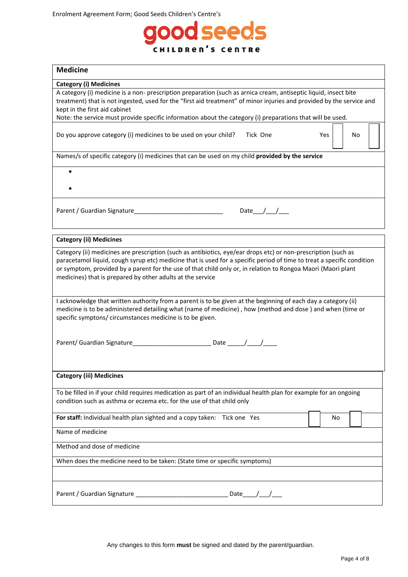

| <b>Medicine</b>                                                                                                                                                                                                                                                                                                                                                                                                        |  |  |  |  |  |  |
|------------------------------------------------------------------------------------------------------------------------------------------------------------------------------------------------------------------------------------------------------------------------------------------------------------------------------------------------------------------------------------------------------------------------|--|--|--|--|--|--|
| <b>Category (i) Medicines</b>                                                                                                                                                                                                                                                                                                                                                                                          |  |  |  |  |  |  |
| A category (i) medicine is a non- prescription preparation (such as arnica cream, antiseptic liquid, insect bite<br>treatment) that is not ingested, used for the "first aid treatment" of minor injuries and provided by the service and<br>kept in the first aid cabinet<br>Note: the service must provide specific information about the category (i) preparations that will be used.                               |  |  |  |  |  |  |
| Do you approve category (i) medicines to be used on your child?<br>Tick One<br>Yes<br>No.                                                                                                                                                                                                                                                                                                                              |  |  |  |  |  |  |
| Names/s of specific category (i) medicines that can be used on my child provided by the service                                                                                                                                                                                                                                                                                                                        |  |  |  |  |  |  |
|                                                                                                                                                                                                                                                                                                                                                                                                                        |  |  |  |  |  |  |
| Date $\_\_\_\_\_\_\_\_\_\_\$                                                                                                                                                                                                                                                                                                                                                                                           |  |  |  |  |  |  |
| <b>Category (ii) Medicines</b>                                                                                                                                                                                                                                                                                                                                                                                         |  |  |  |  |  |  |
| Category (ii) medicines are prescription (such as antibiotics, eye/ear drops etc) or non-prescription (such as<br>paracetamol liquid, cough syrup etc) medicine that is used for a specific period of time to treat a specific condition<br>or symptom, provided by a parent for the use of that child only or, in relation to Rongoa Maori (Maori plant<br>medicines) that is prepared by other adults at the service |  |  |  |  |  |  |
| I acknowledge that written authority from a parent is to be given at the beginning of each day a category (ii)<br>medicine is to be administered detailing what (name of medicine), how (method and dose) and when (time or<br>specific symptons/ circumstances medicine is to be given.                                                                                                                               |  |  |  |  |  |  |
|                                                                                                                                                                                                                                                                                                                                                                                                                        |  |  |  |  |  |  |
| <b>Category (iii) Medicines</b>                                                                                                                                                                                                                                                                                                                                                                                        |  |  |  |  |  |  |
| To be filled in if your child requires medication as part of an individual health plan for example for an ongoing<br>condition such as asthma or eczema etc. for the use of that child only                                                                                                                                                                                                                            |  |  |  |  |  |  |
| For staff: Individual health plan sighted and a copy taken: Tick one Yes<br>No.                                                                                                                                                                                                                                                                                                                                        |  |  |  |  |  |  |
| Name of medicine                                                                                                                                                                                                                                                                                                                                                                                                       |  |  |  |  |  |  |
| Method and dose of medicine                                                                                                                                                                                                                                                                                                                                                                                            |  |  |  |  |  |  |
| When does the medicine need to be taken: (State time or specific symptoms)                                                                                                                                                                                                                                                                                                                                             |  |  |  |  |  |  |
| Parent / Guardian Signature ____<br>Date $\_\_\_\_\_\_\_\_\_\_\$                                                                                                                                                                                                                                                                                                                                                       |  |  |  |  |  |  |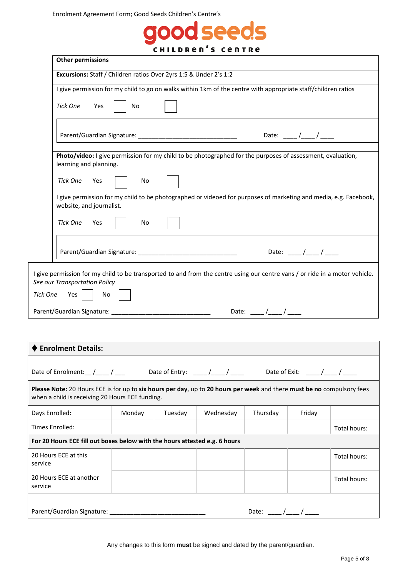

|                                                                            | <b>Other permissions</b>                                                                                                                                                  |        |         |                                  |                     |                                                |              |  |
|----------------------------------------------------------------------------|---------------------------------------------------------------------------------------------------------------------------------------------------------------------------|--------|---------|----------------------------------|---------------------|------------------------------------------------|--------------|--|
|                                                                            | Excursions: Staff / Children ratios Over 2yrs 1:5 & Under 2's 1:2                                                                                                         |        |         |                                  |                     |                                                |              |  |
|                                                                            | I give permission for my child to go on walks within 1km of the centre with appropriate staff/children ratios                                                             |        |         |                                  |                     |                                                |              |  |
|                                                                            | <b>Tick One</b><br><b>No</b><br>Yes                                                                                                                                       |        |         |                                  |                     |                                                |              |  |
|                                                                            | Date: ___/___/___                                                                                                                                                         |        |         |                                  |                     |                                                |              |  |
|                                                                            | Photo/video: I give permission for my child to be photographed for the purposes of assessment, evaluation,<br>learning and planning.                                      |        |         |                                  |                     |                                                |              |  |
|                                                                            | Tick One<br>Yes<br>No                                                                                                                                                     |        |         |                                  |                     |                                                |              |  |
|                                                                            | I give permission for my child to be photographed or videoed for purposes of marketing and media, e.g. Facebook,<br>website, and journalist.                              |        |         |                                  |                     |                                                |              |  |
|                                                                            | Tick One<br>Yes<br>No                                                                                                                                                     |        |         |                                  |                     |                                                |              |  |
|                                                                            |                                                                                                                                                                           |        |         |                                  |                     | Date: _____ /_____ / _____                     |              |  |
|                                                                            | I give permission for my child to be transported to and from the centre using our centre vans / or ride in a motor vehicle.<br>See our Transportation Policy              |        |         |                                  |                     |                                                |              |  |
| Tick One                                                                   | Yes  <br>No                                                                                                                                                               |        |         |                                  |                     |                                                |              |  |
|                                                                            |                                                                                                                                                                           |        |         |                                  | Date: ___/___/ ____ |                                                |              |  |
|                                                                            |                                                                                                                                                                           |        |         |                                  |                     |                                                |              |  |
|                                                                            | <b>Enrolment Details:</b>                                                                                                                                                 |        |         |                                  |                     |                                                |              |  |
|                                                                            | Date of Enrolment: $\_\_\_\_\_\_\_$                                                                                                                                       |        |         | Date of Entry: _____/____/ _____ |                     | Date of Exit: $\frac{1}{\sqrt{1-\frac{1}{2}}}$ |              |  |
|                                                                            | Please Note: 20 Hours ECE is for up to six hours per day, up to 20 hours per week and there must be no compulsory fees<br>when a child is receiving 20 Hours ECE funding. |        |         |                                  |                     |                                                |              |  |
| Days Enrolled:                                                             |                                                                                                                                                                           | Monday | Tuesday | Wednesday                        | Thursday            | Friday                                         |              |  |
| <b>Times Enrolled:</b>                                                     |                                                                                                                                                                           |        |         |                                  |                     |                                                | Total hours: |  |
| For 20 Hours ECE fill out boxes below with the hours attested e.g. 6 hours |                                                                                                                                                                           |        |         |                                  |                     |                                                |              |  |
| 20 Hours ECE at this<br>service                                            |                                                                                                                                                                           |        |         |                                  |                     |                                                | Total hours: |  |
| service                                                                    | 20 Hours ECE at another                                                                                                                                                   |        |         |                                  |                     |                                                | Total hours: |  |
|                                                                            | Date: ____/___/ ____                                                                                                                                                      |        |         |                                  |                     |                                                |              |  |
|                                                                            |                                                                                                                                                                           |        |         |                                  |                     |                                                |              |  |

Any changes to this form **must** be signed and dated by the parent/guardian.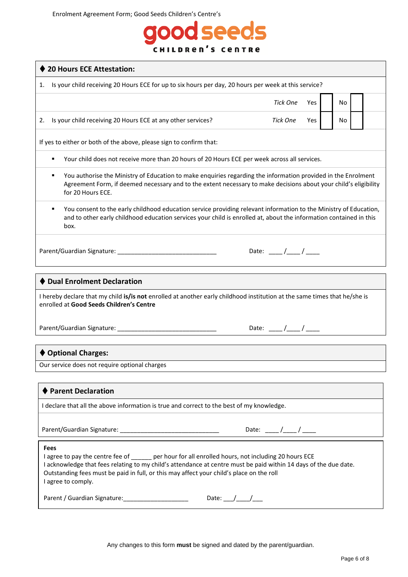## d seeds 000 **CHILDREN'S CENTRE**

| ♦ 20 Hours ECE Attestation:                                                                                                                                                                                                                                                                                                                        |                                        |  |  |  |  |  |
|----------------------------------------------------------------------------------------------------------------------------------------------------------------------------------------------------------------------------------------------------------------------------------------------------------------------------------------------------|----------------------------------------|--|--|--|--|--|
| Is your child receiving 20 Hours ECE for up to six hours per day, 20 hours per week at this service?<br>1.                                                                                                                                                                                                                                         |                                        |  |  |  |  |  |
|                                                                                                                                                                                                                                                                                                                                                    | <b>Tick One</b><br>No<br>Yes           |  |  |  |  |  |
| Is your child receiving 20 Hours ECE at any other services?<br>2.                                                                                                                                                                                                                                                                                  | Tick One<br>No<br>Yes                  |  |  |  |  |  |
| If yes to either or both of the above, please sign to confirm that:                                                                                                                                                                                                                                                                                |                                        |  |  |  |  |  |
| Your child does not receive more than 20 hours of 20 Hours ECE per week across all services.<br>٠                                                                                                                                                                                                                                                  |                                        |  |  |  |  |  |
| You authorise the Ministry of Education to make enquiries regarding the information provided in the Enrolment<br>٠<br>Agreement Form, if deemed necessary and to the extent necessary to make decisions about your child's eligibility<br>for 20 Hours ECE.                                                                                        |                                        |  |  |  |  |  |
| You consent to the early childhood education service providing relevant information to the Ministry of Education,<br>٠<br>and to other early childhood education services your child is enrolled at, about the information contained in this<br>box.                                                                                               |                                        |  |  |  |  |  |
|                                                                                                                                                                                                                                                                                                                                                    | Date: $\frac{1}{\sqrt{1-\frac{1}{2}}}$ |  |  |  |  |  |
| ♦ Dual Enrolment Declaration                                                                                                                                                                                                                                                                                                                       |                                        |  |  |  |  |  |
| I hereby declare that my child is/is not enrolled at another early childhood institution at the same times that he/she is<br>enrolled at Good Seeds Children's Centre                                                                                                                                                                              |                                        |  |  |  |  |  |
|                                                                                                                                                                                                                                                                                                                                                    | Date: $\frac{1}{\sqrt{1-\frac{1}{2}}}$ |  |  |  |  |  |
| ♦ Optional Charges:                                                                                                                                                                                                                                                                                                                                |                                        |  |  |  |  |  |
| Our service does not require optional charges                                                                                                                                                                                                                                                                                                      |                                        |  |  |  |  |  |
|                                                                                                                                                                                                                                                                                                                                                    |                                        |  |  |  |  |  |
| <b>Parent Declaration</b>                                                                                                                                                                                                                                                                                                                          |                                        |  |  |  |  |  |
| I declare that all the above information is true and correct to the best of my knowledge.                                                                                                                                                                                                                                                          |                                        |  |  |  |  |  |
| Date: ____/____/ _____                                                                                                                                                                                                                                                                                                                             |                                        |  |  |  |  |  |
| Fees<br>I agree to pay the centre fee of _______ per hour for all enrolled hours, not including 20 hours ECE<br>I acknowledge that fees relating to my child's attendance at centre must be paid within 14 days of the due date.<br>Outstanding fees must be paid in full, or this may affect your child's place on the roll<br>I agree to comply. |                                        |  |  |  |  |  |

Parent / Guardian Signature: \_\_\_\_\_\_\_\_\_\_\_\_\_\_\_\_\_\_\_\_\_\_\_\_\_\_\_\_\_\_\_\_\_Date: \_\_\_\_/\_\_\_\_\_/\_\_

Any changes to this form **must** be signed and dated by the parent/guardian.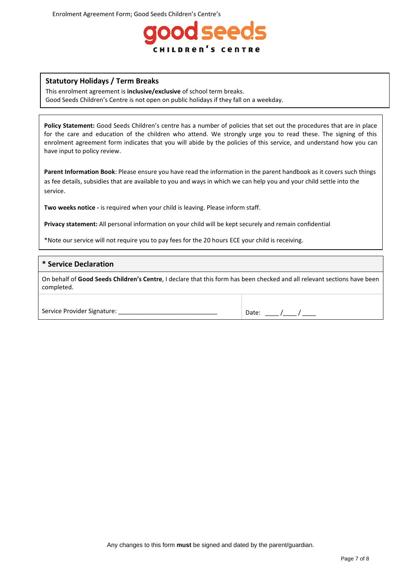

### **Statutory Holidays / Term Breaks**

This enrolment agreement is **inclusive/exclusive** of school term breaks. Good Seeds Children's Centre is not open on public holidays if they fall on a weekday.

**Policy Statement:** Good Seeds Children's centre has a number of policies that set out the procedures that are in place for the care and education of the children who attend. We strongly urge you to read these. The signing of this enrolment agreement form indicates that you will abide by the policies of this service, and understand how you can have input to policy review.

**Parent Information Book**: Please ensure you have read the information in the parent handbook as it covers such things as fee details, subsidies that are available to you and ways in which we can help you and your child settle into the service.

**Two weeks notice -** is required when your child is leaving. Please inform staff.

**Privacy statement:** All personal information on your child will be kept securely and remain confidential

\*Note our service will not require you to pay fees for the 20 hours ECE your child is receiving.

#### **\* Service Declaration**

On behalf of **Good Seeds Children's Centre**, I declare that this form has been checked and all relevant sections have been completed.

Service Provider Signature: \_\_\_\_\_\_\_\_\_\_\_\_\_\_\_\_\_\_\_\_\_\_\_\_\_\_\_\_\_ Date: \_\_\_\_ /\_\_\_\_ / \_\_\_\_